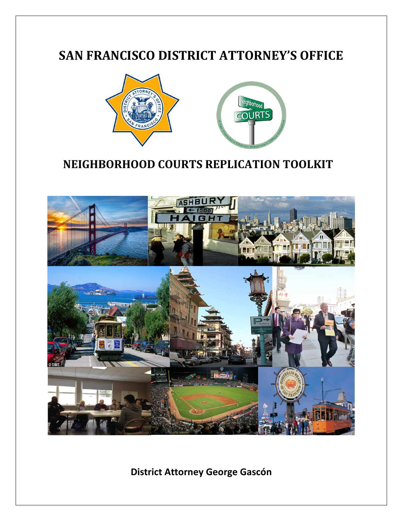# **SAN FRANCISCO DISTRICT ATTORNEY'S OFFICE**



# **NEIGHBORHOOD COURTS REPLICATION TOOLKIT**

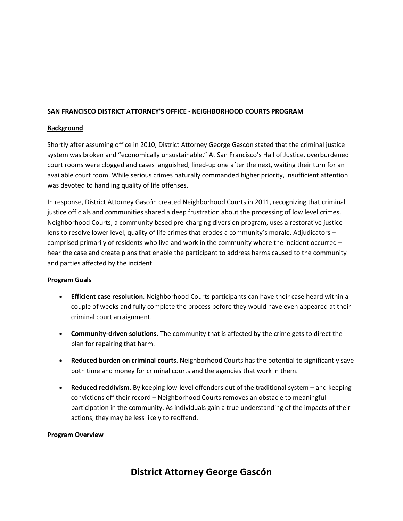#### **SAN FRANCISCO DISTRICT ATTORNEY'S OFFICE - NEIGHBORHOOD COURTS PROGRAM**

#### **Background**

Shortly after assuming office in 2010, District Attorney George Gascón stated that the criminal justice system was broken and "economically unsustainable." At San Francisco's Hall of Justice, overburdened court rooms were clogged and cases languished, lined-up one after the next, waiting their turn for an available court room. While serious crimes naturally commanded higher priority, insufficient attention was devoted to handling quality of life offenses.

In response, District Attorney Gascón created Neighborhood Courts in 2011, recognizing that criminal justice officials and communities shared a deep frustration about the processing of low level crimes. Neighborhood Courts, a community based pre-charging diversion program, uses a restorative justice lens to resolve lower level, quality of life crimes that erodes a community's morale. Adjudicators – comprised primarily of residents who live and work in the community where the incident occurred – hear the case and create plans that enable the participant to address harms caused to the community and parties affected by the incident.

#### **Program Goals**

- **Efficient case resolution**. Neighborhood Courts participants can have their case heard within a couple of weeks and fully complete the process before they would have even appeared at their criminal court arraignment.
- **Community-driven solutions.** The community that is affected by the crime gets to direct the plan for repairing that harm.
- **Reduced burden on criminal courts**. Neighborhood Courts has the potential to significantly save both time and money for criminal courts and the agencies that work in them.
- **Reduced recidivism**. By keeping low-level offenders out of the traditional system and keeping convictions off their record – Neighborhood Courts removes an obstacle to meaningful participation in the community. As individuals gain a true understanding of the impacts of their actions, they may be less likely to reoffend.

#### **Program Overview**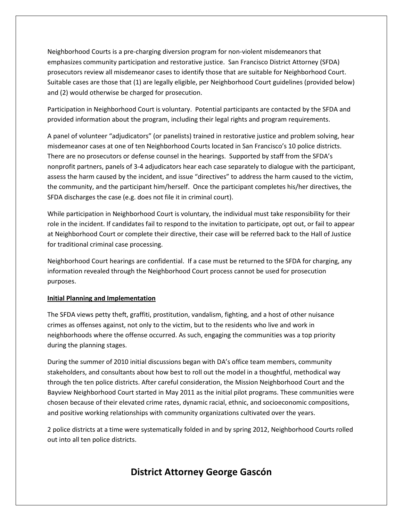Neighborhood Courts is a pre-charging diversion program for non-violent misdemeanors that emphasizes community participation and restorative justice. San Francisco District Attorney (SFDA) prosecutors review all misdemeanor cases to identify those that are suitable for Neighborhood Court. Suitable cases are those that (1) are legally eligible, per Neighborhood Court guidelines (provided below) and (2) would otherwise be charged for prosecution.

Participation in Neighborhood Court is voluntary. Potential participants are contacted by the SFDA and provided information about the program, including their legal rights and program requirements.

A panel of volunteer "adjudicators" (or panelists) trained in restorative justice and problem solving, hear misdemeanor cases at one of ten Neighborhood Courts located in San Francisco's 10 police districts. There are no prosecutors or defense counsel in the hearings. Supported by staff from the SFDA's nonprofit partners, panels of 3-4 adjudicators hear each case separately to dialogue with the participant, assess the harm caused by the incident, and issue "directives" to address the harm caused to the victim, the community, and the participant him/herself. Once the participant completes his/her directives, the SFDA discharges the case (e.g. does not file it in criminal court).

While participation in Neighborhood Court is voluntary, the individual must take responsibility for their role in the incident. If candidates fail to respond to the invitation to participate, opt out, or fail to appear at Neighborhood Court or complete their directive, their case will be referred back to the Hall of Justice for traditional criminal case processing.

Neighborhood Court hearings are confidential. If a case must be returned to the SFDA for charging, any information revealed through the Neighborhood Court process cannot be used for prosecution purposes.

#### **Initial Planning and Implementation**

The SFDA views petty theft, graffiti, prostitution, vandalism, fighting, and a host of other nuisance crimes as offenses against, not only to the victim, but to the residents who live and work in neighborhoods where the offense occurred. As such, engaging the communities was a top priority during the planning stages.

During the summer of 2010 initial discussions began with DA's office team members, community stakeholders, and consultants about how best to roll out the model in a thoughtful, methodical way through the ten police districts. After careful consideration, the Mission Neighborhood Court and the Bayview Neighborhood Court started in May 2011 as the initial pilot programs. These communities were chosen because of their elevated crime rates, dynamic racial, ethnic, and socioeconomic compositions, and positive working relationships with community organizations cultivated over the years.

2 police districts at a time were systematically folded in and by spring 2012, Neighborhood Courts rolled out into all ten police districts.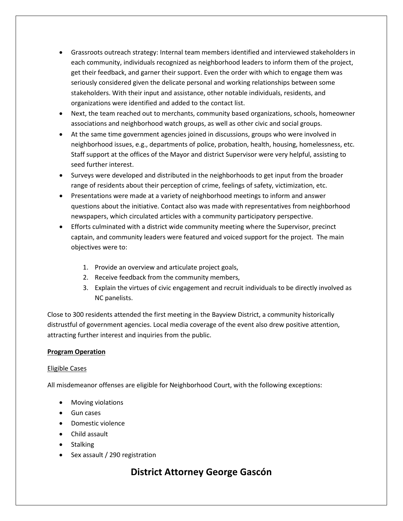- Grassroots outreach strategy: Internal team members identified and interviewed stakeholders in each community, individuals recognized as neighborhood leaders to inform them of the project, get their feedback, and garner their support. Even the order with which to engage them was seriously considered given the delicate personal and working relationships between some stakeholders. With their input and assistance, other notable individuals, residents, and organizations were identified and added to the contact list.
- Next, the team reached out to merchants, community based organizations, schools, homeowner associations and neighborhood watch groups, as well as other civic and social groups.
- At the same time government agencies joined in discussions, groups who were involved in neighborhood issues, e.g., departments of police, probation, health, housing, homelessness, etc. Staff support at the offices of the Mayor and district Supervisor were very helpful, assisting to seed further interest.
- Surveys were developed and distributed in the neighborhoods to get input from the broader range of residents about their perception of crime, feelings of safety, victimization, etc.
- Presentations were made at a variety of neighborhood meetings to inform and answer questions about the initiative. Contact also was made with representatives from neighborhood newspapers, which circulated articles with a community participatory perspective.
- Efforts culminated with a district wide community meeting where the Supervisor, precinct captain, and community leaders were featured and voiced support for the project. The main objectives were to:
	- 1. Provide an overview and articulate project goals,
	- 2. Receive feedback from the community members,
	- 3. Explain the virtues of civic engagement and recruit individuals to be directly involved as NC panelists.

Close to 300 residents attended the first meeting in the Bayview District, a community historically distrustful of government agencies. Local media coverage of the event also drew positive attention, attracting further interest and inquiries from the public.

#### **Program Operation**

#### Eligible Cases

All misdemeanor offenses are eligible for Neighborhood Court, with the following exceptions:

- Moving violations
- Gun cases
- Domestic violence
- Child assault
- Stalking
- Sex assault / 290 registration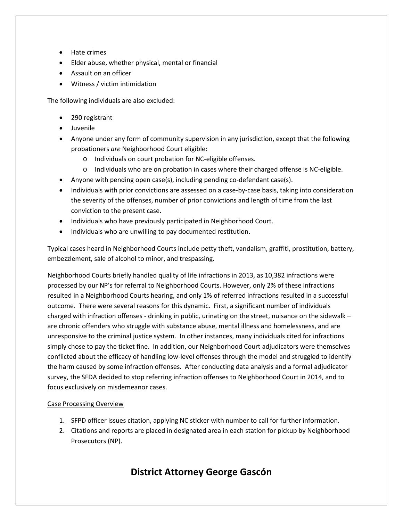- Hate crimes
- Elder abuse, whether physical, mental or financial
- Assault on an officer
- Witness / victim intimidation

The following individuals are also excluded:

- 290 registrant
- Juvenile
- Anyone under any form of community supervision in any jurisdiction, except that the following probationers *are* Neighborhood Court eligible:
	- o Individuals on court probation for NC-eligible offenses.
	- o Individuals who are on probation in cases where their charged offense is NC-eligible.
- Anyone with pending open case(s), including pending co-defendant case(s).
- Individuals with prior convictions are assessed on a case-by-case basis, taking into consideration the severity of the offenses, number of prior convictions and length of time from the last conviction to the present case.
- Individuals who have previously participated in Neighborhood Court.
- Individuals who are unwilling to pay documented restitution.

Typical cases heard in Neighborhood Courts include petty theft, vandalism, graffiti, prostitution, battery, embezzlement, sale of alcohol to minor, and trespassing.

Neighborhood Courts briefly handled quality of life infractions in 2013, as 10,382 infractions were processed by our NP's for referral to Neighborhood Courts. However, only 2% of these infractions resulted in a Neighborhood Courts hearing, and only 1% of referred infractions resulted in a successful outcome. There were several reasons for this dynamic. First, a significant number of individuals charged with infraction offenses - drinking in public, urinating on the street, nuisance on the sidewalk – are chronic offenders who struggle with substance abuse, mental illness and homelessness, and are unresponsive to the criminal justice system. In other instances, many individuals cited for infractions simply chose to pay the ticket fine. In addition, our Neighborhood Court adjudicators were themselves conflicted about the efficacy of handling low-level offenses through the model and struggled to identify the harm caused by some infraction offenses. After conducting data analysis and a formal adjudicator survey, the SFDA decided to stop referring infraction offenses to Neighborhood Court in 2014, and to focus exclusively on misdemeanor cases.

#### Case Processing Overview

- 1. SFPD officer issues citation, applying NC sticker with number to call for further information.
- 2. Citations and reports are placed in designated area in each station for pickup by Neighborhood Prosecutors (NP).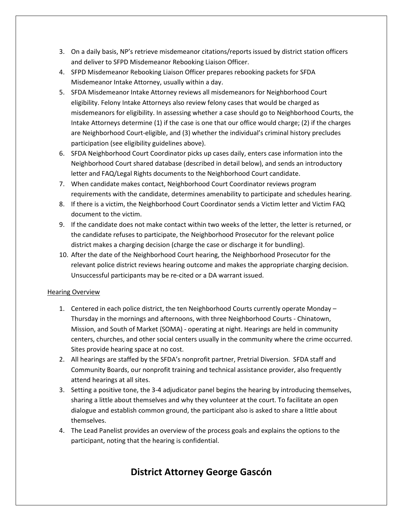- 3. On a daily basis, NP's retrieve misdemeanor citations/reports issued by district station officers and deliver to SFPD Misdemeanor Rebooking Liaison Officer.
- 4. SFPD Misdemeanor Rebooking Liaison Officer prepares rebooking packets for SFDA Misdemeanor Intake Attorney, usually within a day.
- 5. SFDA Misdemeanor Intake Attorney reviews all misdemeanors for Neighborhood Court eligibility. Felony Intake Attorneys also review felony cases that would be charged as misdemeanors for eligibility. In assessing whether a case should go to Neighborhood Courts, the Intake Attorneys determine (1) if the case is one that our office would charge; (2) if the charges are Neighborhood Court-eligible, and (3) whether the individual's criminal history precludes participation (see eligibility guidelines above).
- 6. SFDA Neighborhood Court Coordinator picks up cases daily, enters case information into the Neighborhood Court shared database (described in detail below), and sends an introductory letter and FAQ/Legal Rights documents to the Neighborhood Court candidate.
- 7. When candidate makes contact, Neighborhood Court Coordinator reviews program requirements with the candidate, determines amenability to participate and schedules hearing.
- 8. If there is a victim, the Neighborhood Court Coordinator sends a Victim letter and Victim FAQ document to the victim.
- 9. If the candidate does not make contact within two weeks of the letter, the letter is returned, or the candidate refuses to participate, the Neighborhood Prosecutor for the relevant police district makes a charging decision (charge the case or discharge it for bundling).
- 10. After the date of the Neighborhood Court hearing, the Neighborhood Prosecutor for the relevant police district reviews hearing outcome and makes the appropriate charging decision. Unsuccessful participants may be re-cited or a DA warrant issued.

#### Hearing Overview

- 1. Centered in each police district, the ten Neighborhood Courts currently operate Monday Thursday in the mornings and afternoons, with three Neighborhood Courts - Chinatown, Mission, and South of Market (SOMA) - operating at night. Hearings are held in community centers, churches, and other social centers usually in the community where the crime occurred. Sites provide hearing space at no cost.
- 2. All hearings are staffed by the SFDA's nonprofit partner, Pretrial Diversion. SFDA staff and Community Boards, our nonprofit training and technical assistance provider, also frequently attend hearings at all sites.
- 3. Setting a positive tone, the 3-4 adjudicator panel begins the hearing by introducing themselves, sharing a little about themselves and why they volunteer at the court. To facilitate an open dialogue and establish common ground, the participant also is asked to share a little about themselves.
- 4. The Lead Panelist provides an overview of the process goals and explains the options to the participant, noting that the hearing is confidential.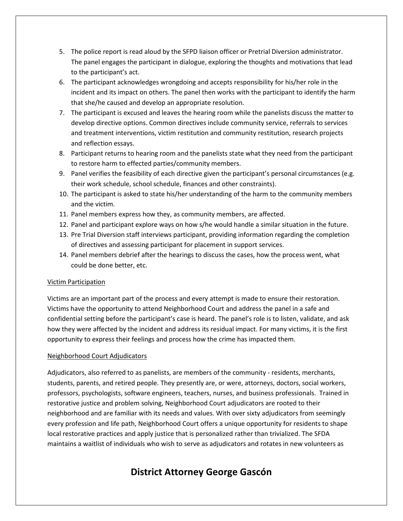- 5. The police report is read aloud by the SFPD liaison officer or Pretrial Diversion administrator. The panel engages the participant in dialogue, exploring the thoughts and motivations that lead to the participant's act.
- 6. The participant acknowledges wrongdoing and accepts responsibility for his/her role in the incident and its impact on others. The panel then works with the participant to identify the harm that she/he caused and develop an appropriate resolution.
- 7. The participant is excused and leaves the hearing room while the panelists discuss the matter to develop directive options. Common directives include community service, referrals to services and treatment interventions, victim restitution and community restitution, research projects and reflection essays.
- 8. Participant returns to hearing room and the panelists state what they need from the participant to restore harm to effected parties/community members.
- 9. Panel verifies the feasibility of each directive given the participant's personal circumstances (e.g. their work schedule, school schedule, finances and other constraints).
- 10. The participant is asked to state his/her understanding of the harm to the community members and the victim.
- 11. Panel members express how they, as community members, are affected.
- 12. Panel and participant explore ways on how s/he would handle a similar situation in the future.
- 13. Pre Trial Diversion staff interviews participant, providing information regarding the completion of directives and assessing participant for placement in support services.
- 14. Panel members debrief after the hearings to discuss the cases, how the process went, what could be done better, etc.

#### Victim Participation

Victims are an important part of the process and every attempt is made to ensure their restoration. Victims have the opportunity to attend Neighborhood Court and address the panel in a safe and confidential setting before the participant's case is heard. The panel's role is to listen, validate, and ask how they were affected by the incident and address its residual impact. For many victims, it is the first opportunity to express their feelings and process how the crime has impacted them.

#### Neighborhood Court Adjudicators

Adjudicators, also referred to as panelists, are members of the community - residents, merchants, students, parents, and retired people. They presently are, or were, attorneys, doctors, social workers, professors, psychologists, software engineers, teachers, nurses, and business professionals. Trained in restorative justice and problem solving, Neighborhood Court adjudicators are rooted to their neighborhood and are familiar with its needs and values. With over sixty adjudicators from seemingly every profession and life path, Neighborhood Court offers a unique opportunity for residents to shape local restorative practices and apply justice that is personalized rather than trivialized. The SFDA maintains a waitlist of individuals who wish to serve as adjudicators and rotates in new volunteers as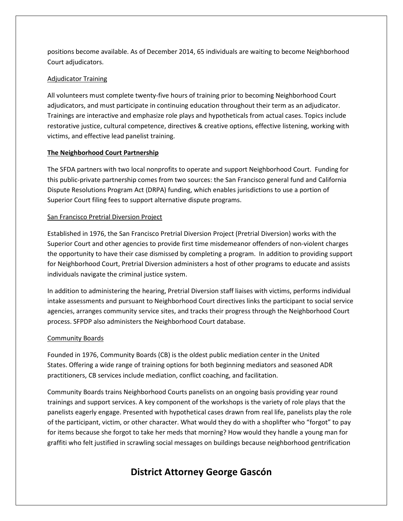positions become available. As of December 2014, 65 individuals are waiting to become Neighborhood Court adjudicators.

#### Adjudicator Training

All volunteers must complete twenty-five hours of training prior to becoming Neighborhood Court adjudicators, and must participate in continuing education throughout their term as an adjudicator. Trainings are interactive and emphasize role plays and hypotheticals from actual cases. Topics include restorative justice, cultural competence, directives & creative options, effective listening, working with victims, and effective lead panelist training.

#### **The Neighborhood Court Partnership**

The SFDA partners with two local nonprofits to operate and support Neighborhood Court. Funding for this public-private partnership comes from two sources: the San Francisco general fund and California Dispute Resolutions Program Act (DRPA) funding, which enables jurisdictions to use a portion of Superior Court filing fees to support alternative dispute programs.

#### San Francisco Pretrial Diversion Project

Established in 1976, the San Francisco Pretrial Diversion Project (Pretrial Diversion) works with the Superior Court and other agencies to provide first time misdemeanor offenders of non-violent charges the opportunity to have their case dismissed by completing a program. In addition to providing support for Neighborhood Court, Pretrial Diversion administers a host of other programs to educate and assists individuals navigate the criminal justice system.

In addition to administering the hearing, Pretrial Diversion staff liaises with victims, performs individual intake assessments and pursuant to Neighborhood Court directives links the participant to social service agencies, arranges community service sites, and tracks their progress through the Neighborhood Court process. SFPDP also administers the Neighborhood Court database.

#### Community Boards

Founded in 1976, Community Boards (CB) is the oldest public mediation center in the United States. Offering a wide range of training options for both beginning mediators and seasoned ADR practitioners, CB services include mediation, conflict coaching, and facilitation.

Community Boards trains Neighborhood Courts panelists on an ongoing basis providing year round trainings and support services. A key component of the workshops is the variety of role plays that the panelists eagerly engage. Presented with hypothetical cases drawn from real life, panelists play the role of the participant, victim, or other character. What would they do with a shoplifter who "forgot" to pay for items because she forgot to take her meds that morning? How would they handle a young man for graffiti who felt justified in scrawling social messages on buildings because neighborhood gentrification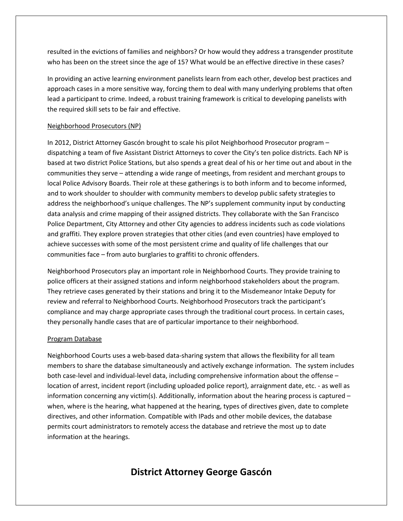resulted in the evictions of families and neighbors? Or how would they address a transgender prostitute who has been on the street since the age of 15? What would be an effective directive in these cases?

In providing an active learning environment panelists learn from each other, develop best practices and approach cases in a more sensitive way, forcing them to deal with many underlying problems that often lead a participant to crime. Indeed, a robust training framework is critical to developing panelists with the required skill sets to be fair and effective.

#### Neighborhood Prosecutors (NP)

In 2012, District Attorney Gascón brought to scale his pilot Neighborhood Prosecutor program – dispatching a team of five Assistant District Attorneys to cover the City's ten police districts. Each NP is based at two district Police Stations, but also spends a great deal of his or her time out and about in the communities they serve – attending a wide range of meetings, from resident and merchant groups to local Police Advisory Boards. Their role at these gatherings is to both inform and to become informed, and to work shoulder to shoulder with community members to develop public safety strategies to address the neighborhood's unique challenges. The NP's supplement community input by conducting data analysis and crime mapping of their assigned districts. They collaborate with the San Francisco Police Department, City Attorney and other City agencies to address incidents such as code violations and graffiti. They explore proven strategies that other cities (and even countries) have employed to achieve successes with some of the most persistent crime and quality of life challenges that our communities face – from auto burglaries to graffiti to chronic offenders.

Neighborhood Prosecutors play an important role in Neighborhood Courts. They provide training to police officers at their assigned stations and inform neighborhood stakeholders about the program. They retrieve cases generated by their stations and bring it to the Misdemeanor Intake Deputy for review and referral to Neighborhood Courts. Neighborhood Prosecutors track the participant's compliance and may charge appropriate cases through the traditional court process. In certain cases, they personally handle cases that are of particular importance to their neighborhood.

#### Program Database

Neighborhood Courts uses a web-based data-sharing system that allows the flexibility for all team members to share the database simultaneously and actively exchange information. The system includes both case-level and individual-level data, including comprehensive information about the offense – location of arrest, incident report (including uploaded police report), arraignment date, etc. - as well as information concerning any victim(s). Additionally, information about the hearing process is captured  $$ when, where is the hearing, what happened at the hearing, types of directives given, date to complete directives, and other information. Compatible with IPads and other mobile devices, the database permits court administrators to remotely access the database and retrieve the most up to date information at the hearings.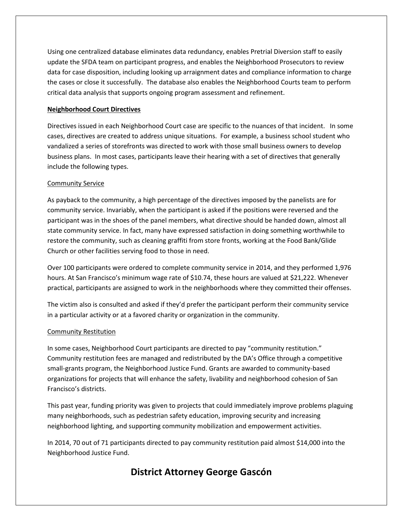Using one centralized database eliminates data redundancy, enables Pretrial Diversion staff to easily update the SFDA team on participant progress, and enables the Neighborhood Prosecutors to review data for case disposition, including looking up arraignment dates and compliance information to charge the cases or close it successfully. The database also enables the Neighborhood Courts team to perform critical data analysis that supports ongoing program assessment and refinement.

#### **Neighborhood Court Directives**

Directives issued in each Neighborhood Court case are specific to the nuances of that incident. In some cases, directives are created to address unique situations. For example, a business school student who vandalized a series of storefronts was directed to work with those small business owners to develop business plans. In most cases, participants leave their hearing with a set of directives that generally include the following types.

#### Community Service

As payback to the community, a high percentage of the directives imposed by the panelists are for community service. Invariably, when the participant is asked if the positions were reversed and the participant was in the shoes of the panel members, what directive should be handed down, almost all state community service. In fact, many have expressed satisfaction in doing something worthwhile to restore the community, such as cleaning graffiti from store fronts, working at the Food Bank/Glide Church or other facilities serving food to those in need.

Over 100 participants were ordered to complete community service in 2014, and they performed 1,976 hours. At San Francisco's minimum wage rate of \$10.74, these hours are valued at \$21,222. Whenever practical, participants are assigned to work in the neighborhoods where they committed their offenses.

The victim also is consulted and asked if they'd prefer the participant perform their community service in a particular activity or at a favored charity or organization in the community.

#### Community Restitution

In some cases, Neighborhood Court participants are directed to pay "community restitution." Community restitution fees are managed and redistributed by the DA's Office through a competitive small-grants program, the Neighborhood Justice Fund. Grants are awarded to community-based organizations for projects that will enhance the safety, livability and neighborhood cohesion of San Francisco's districts.

This past year, funding priority was given to projects that could immediately improve problems plaguing many neighborhoods, such as pedestrian safety education, improving security and increasing neighborhood lighting, and supporting community mobilization and empowerment activities.

In 2014, 70 out of 71 participants directed to pay community restitution paid almost \$14,000 into the Neighborhood Justice Fund.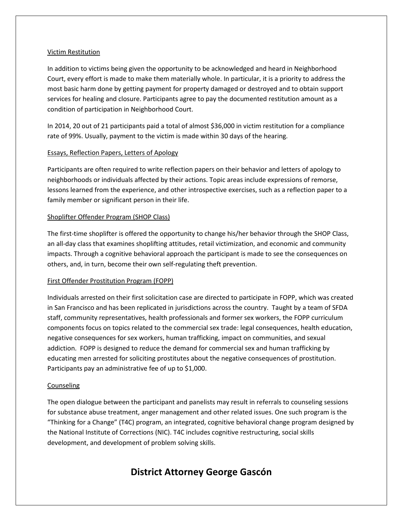#### Victim Restitution

In addition to victims being given the opportunity to be acknowledged and heard in Neighborhood Court, every effort is made to make them materially whole. In particular, it is a priority to address the most basic harm done by getting payment for property damaged or destroyed and to obtain support services for healing and closure. Participants agree to pay the documented restitution amount as a condition of participation in Neighborhood Court.

In 2014, 20 out of 21 participants paid a total of almost \$36,000 in victim restitution for a compliance rate of 99%. Usually, payment to the victim is made within 30 days of the hearing.

#### Essays, Reflection Papers, Letters of Apology

Participants are often required to write reflection papers on their behavior and letters of apology to neighborhoods or individuals affected by their actions. Topic areas include expressions of remorse, lessons learned from the experience, and other introspective exercises, such as a reflection paper to a family member or significant person in their life.

#### Shoplifter Offender Program (SHOP Class)

The first-time shoplifter is offered the opportunity to change his/her behavior through the SHOP Class, an all-day class that examines shoplifting attitudes, retail victimization, and economic and community impacts. Through a cognitive behavioral approach the participant is made to see the consequences on others, and, in turn, become their own self-regulating theft prevention.

#### First Offender Prostitution Program (FOPP)

Individuals arrested on their first solicitation case are directed to participate in FOPP, which was created in San Francisco and has been replicated in jurisdictions across the country. Taught by a team of SFDA staff, community representatives, health professionals and former sex workers, the FOPP curriculum components focus on topics related to the commercial sex trade: legal consequences, health education, negative consequences for sex workers, human trafficking, impact on communities, and sexual addiction. FOPP is designed to reduce the demand for commercial sex and human trafficking by educating men arrested for soliciting prostitutes about the negative consequences of prostitution. Participants pay an administrative fee of up to \$1,000.

#### Counseling

The open dialogue between the participant and panelists may result in referrals to counseling sessions for substance abuse treatment, anger management and other related issues. One such program is the "Thinking for a Change" (T4C) program, an integrated, cognitive behavioral change program designed by the National Institute of Corrections (NIC). T4C includes cognitive restructuring, social skills development, and development of problem solving skills.